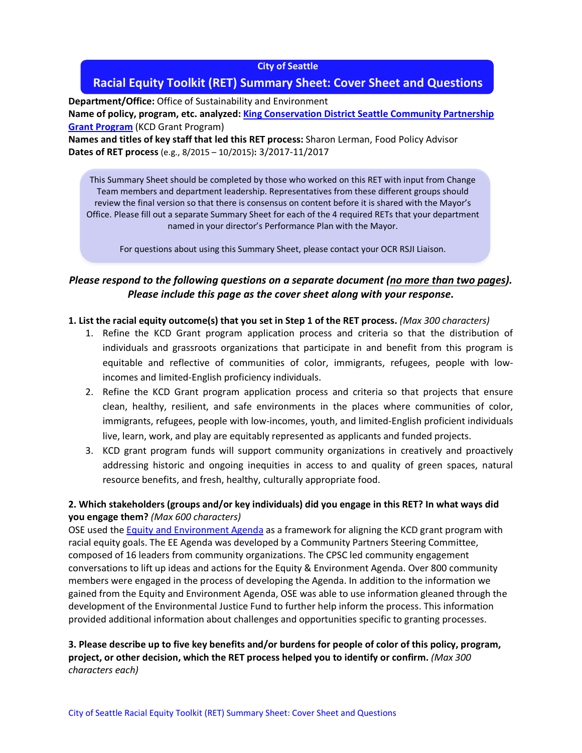#### **City of Seattle**

# **Racial Equity Toolkit (RET) Summary Sheet: Cover Sheet and Questions**

**Department/Office:** Office of Sustainability and Environment

**Name of policy, program, etc. analyzed: King Conservation District [Seattle Community Partnership](http://www.kingcd.org/programs-grant-seattle-community-partnership.htm)  [Grant Program](http://www.kingcd.org/programs-grant-seattle-community-partnership.htm)** (KCD Grant Program)

**Names and titles of key staff that led this RET process:** Sharon Lerman, Food Policy Advisor **Dates of RET process** (e.g., 8/2015 – 10/2015)**:** 3/2017-11/2017

This Summary Sheet should be completed by those who worked on this RET with input from Change Team members and department leadership. Representatives from these different groups should review the final version so that there is consensus on content before it is shared with the Mayor's Office. Please fill out a separate Summary Sheet for each of the 4 required RETs that your department named in your director's Performance Plan with the Mayor.

For questions about using this Summary Sheet, please contact your OCR RSJI Liaison.

# *Please respond to the following questions on a separate document (no more than two pages). Please include this page as the cover sheet along with your response.*

#### **1. List the racial equity outcome(s) that you set in Step 1 of the RET process.** *(Max 300 characters)*

- 1. Refine the KCD Grant program application process and criteria so that the distribution of individuals and grassroots organizations that participate in and benefit from this program is equitable and reflective of communities of color, immigrants, refugees, people with lowincomes and limited-English proficiency individuals.
- 2. Refine the KCD Grant program application process and criteria so that projects that ensure clean, healthy, resilient, and safe environments in the places where communities of color, immigrants, refugees, people with low-incomes, youth, and limited-English proficient individuals live, learn, work, and play are equitably represented as applicants and funded projects.
- 3. KCD grant program funds will support community organizations in creatively and proactively addressing historic and ongoing inequities in access to and quality of green spaces, natural resource benefits, and fresh, healthy, culturally appropriate food.

## **2. Which stakeholders (groups and/or key individuals) did you engage in this RET? In what ways did you engage them?** *(Max 600 characters)*

OSE used the Equity and Environment Agenda as a framework for aligning the KCD grant program with racial equity goals. The EE Agenda was developed by a Community Partners Steering Committee, composed of 16 leaders from community organizations. The CPSC led community engagement conversations to lift up ideas and actions for the Equity & Environment Agenda. Over 800 community members were engaged in the process of developing the Agenda. In addition to the information we gained from the Equity and Environment Agenda, OSE was able to use information gleaned through the development of the Environmental Justice Fund to further help inform the process. This information provided additional information about challenges and opportunities specific to granting processes.

## **3. Please describe up to five key benefits and/or burdens for people of color of this policy, program, project, or other decision, which the RET process helped you to identify or confirm.** *(Max 300 characters each)*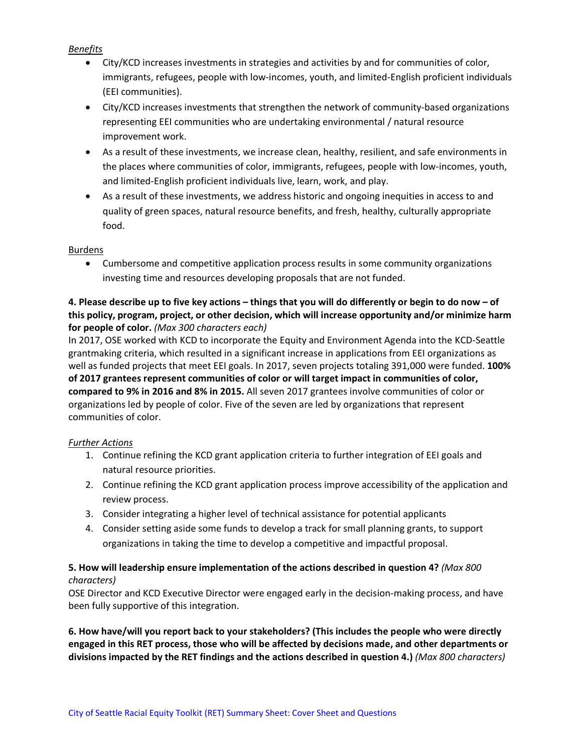#### *Benefits*

- City/KCD increases investments in strategies and activities by and for communities of color, immigrants, refugees, people with low-incomes, youth, and limited-English proficient individuals (EEI communities).
- City/KCD increases investments that strengthen the network of community-based organizations representing EEI communities who are undertaking environmental / natural resource improvement work.
- As a result of these investments, we increase clean, healthy, resilient, and safe environments in the places where communities of color, immigrants, refugees, people with low-incomes, youth, and limited-English proficient individuals live, learn, work, and play.
- As a result of these investments, we address historic and ongoing inequities in access to and quality of green spaces, natural resource benefits, and fresh, healthy, culturally appropriate food.

#### Burdens

• Cumbersome and competitive application process results in some community organizations investing time and resources developing proposals that are not funded.

## **4. Please describe up to five key actions – things that you will do differently or begin to do now – of this policy, program, project, or other decision, which will increase opportunity and/or minimize harm for people of color.** *(Max 300 characters each)*

In 2017, OSE worked with KCD to incorporate the Equity and Environment Agenda into the KCD-Seattle grantmaking criteria, which resulted in a significant increase in applications from EEI organizations as well as funded projects that meet EEI goals. In 2017, seven projects totaling 391,000 were funded. **100% of 2017 grantees represent communities of color or will target impact in communities of color, compared to 9% in 2016 and 8% in 2015.** All seven 2017 grantees involve communities of color or organizations led by people of color. Five of the seven are led by organizations that represent communities of color.

## *Further Actions*

- 1. Continue refining the KCD grant application criteria to further integration of EEI goals and natural resource priorities.
- 2. Continue refining the KCD grant application process improve accessibility of the application and review process.
- 3. Consider integrating a higher level of technical assistance for potential applicants
- 4. Consider setting aside some funds to develop a track for small planning grants, to support organizations in taking the time to develop a competitive and impactful proposal.

# **5. How will leadership ensure implementation of the actions described in question 4?** *(Max 800 characters)*

OSE Director and KCD Executive Director were engaged early in the decision-making process, and have been fully supportive of this integration.

**6. How have/will you report back to your stakeholders? (This includes the people who were directly engaged in this RET process, those who will be affected by decisions made, and other departments or divisions impacted by the RET findings and the actions described in question 4.)** *(Max 800 characters)*